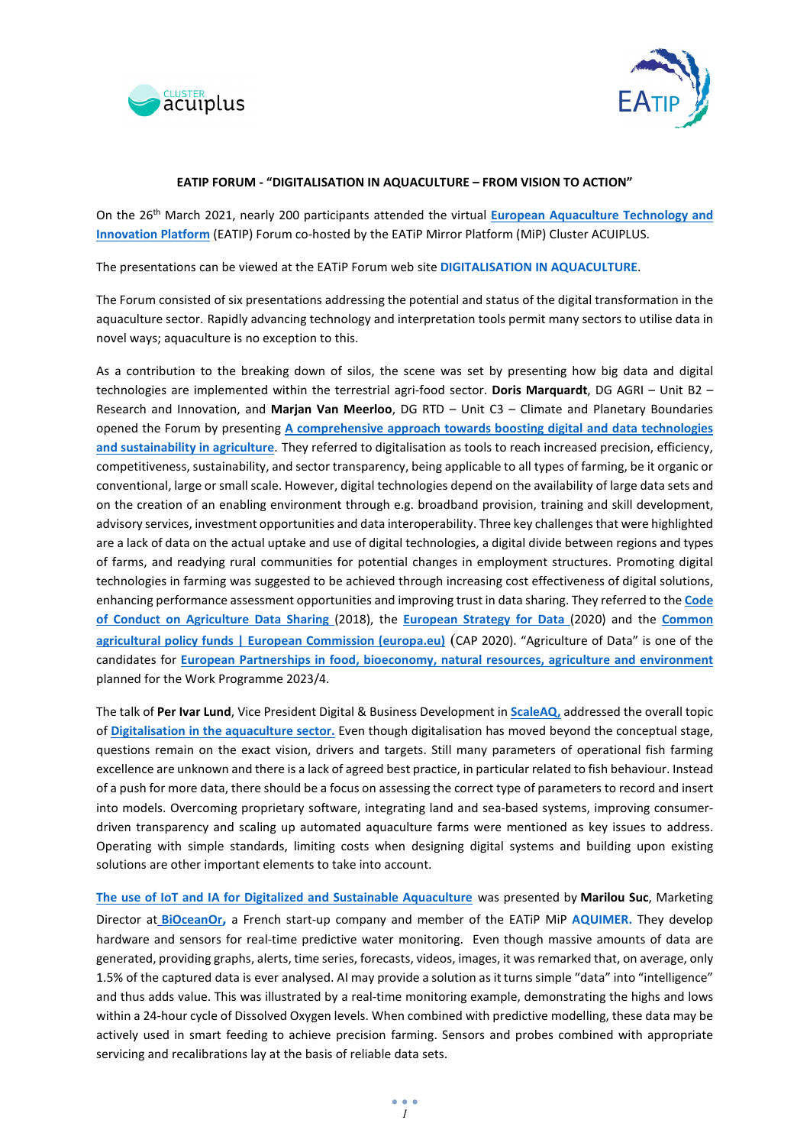



## **EATIP FORUM - "DIGITALISATION IN AQUACULTURE – FROM VISION TO ACTION"**

On the 26th March 2021, nearly 200 participants attended the virtual **[European Aquaculture Technology and](https://eatip.eu/)  [Innovation Platform](https://eatip.eu/)** (EATIP) Forum co-hosted by the EATiP Mirror Platform (MiP) Cluster ACUIPLUS.

The presentations can be viewed at the EATiP Forum web site **[DIGITALISATION IN AQUACULTURE](http://eatip.eu/?p=4854)**.

The Forum consisted of six presentations addressing the potential and status of the digital transformation in the aquaculture sector. Rapidly advancing technology and interpretation tools permit many sectors to utilise data in novel ways; aquaculture is no exception to this.

As a contribution to the breaking down of silos, the scene was set by presenting how big data and digital technologies are implemented within the terrestrial agri-food sector. **Doris Marquardt**, DG AGRI – Unit B2 – Research and Innovation, and **Marjan Van Meerloo**, DG RTD – Unit C3 – Climate and Planetary Boundaries opened the Forum by presenting **[A comprehensive approach towards boosting digital and data technologies](http://eatip.eu/wp-content/uploads/2021/02/Doris-Marquardt-Marjan-Van-Meerloo.pdf)  [and sustainability in agriculture](http://eatip.eu/wp-content/uploads/2021/02/Doris-Marquardt-Marjan-Van-Meerloo.pdf)**. They referred to digitalisation as tools to reach increased precision, efficiency, competitiveness, sustainability, and sector transparency, being applicable to all types of farming, be it organic or conventional, large or small scale. However, digital technologies depend on the availability of large data sets and on the creation of an enabling environment through e.g. broadband provision, training and skill development, advisory services, investment opportunities and data interoperability. Three key challenges that were highlighted are a lack of data on the actual uptake and use of digital technologies, a digital divide between regions and types of farms, and readying rural communities for potential changes in employment structures. Promoting digital technologies in farming was suggested to be achieved through increasing cost effectiveness of digital solutions, enhancing performance assessment opportunities and improving trust in data sharing. They referred to the **[Code](https://copa-cogeca.eu/Archive/Download?id=3770357)  [of Conduct on Agriculture Data Sharing](https://copa-cogeca.eu/Archive/Download?id=3770357)** (2018), the **[European Strategy for Data](https://ec.europa.eu/info/sites/info/files/communication-european-strategy-data-19feb2020_en.pdf)** (2020) and the **[Common](https://ec.europa.eu/info/food-farming-fisheries/key-policies/common-agricultural-policy/financing-cap/cap-funds_en#overview)  [agricultural policy funds | European Commission \(europa.eu\)](https://ec.europa.eu/info/food-farming-fisheries/key-policies/common-agricultural-policy/financing-cap/cap-funds_en#overview)** (CAP 2020). "Agriculture of Data" is one of the candidates for **[European Partnerships in food, bioeconomy, natural resources, agriculture and environment](https://ec.europa.eu/info/horizon-europe/european-partnerships-horizon-europe/candidates-food-security_en)** planned for the Work Programme 2023/4.

The talk of **Per Ivar Lund**, Vice President Digital & Business Development in **[ScaleAQ,](https://scaleaq.com/)** addressed the overall topic of **[Digitalisation in the aquaculture sector.](http://eatip.eu/wp-content/uploads/2021/02/Per-Ivar-Lund-1.pdf)** Even though digitalisation has moved beyond the conceptual stage, questions remain on the exact vision, drivers and targets. Still many parameters of operational fish farming excellence are unknown and there is a lack of agreed best practice, in particular related to fish behaviour. Instead of a push for more data, there should be a focus on assessing the correct type of parameters to record and insert into models. Overcoming proprietary software, integrating land and sea-based systems, improving consumerdriven transparency and scaling up automated aquaculture farms were mentioned as key issues to address. Operating with simple standards, limiting costs when designing digital systems and building upon existing solutions are other important elements to take into account.

**[The use of IoT and IA for Digitalized and Sustainable Aquaculture](http://eatip.eu/wp-content/uploads/2021/02/Marilou-Suc-Bioceanor.pdf)** was presented by **Marilou Suc**, Marketing Director at **[BiOceanOr,](https://www.bioceanor.com/en)** a French start-up company and member of the EATiP MiP **[AQUIMER.](http://www.poleaquimer.com/en/index.html)** They develop hardware and sensors for real-time predictive water monitoring. Even though massive amounts of data are generated, providing graphs, alerts, time series, forecasts, videos, images, it was remarked that, on average, only 1.5% of the captured data is ever analysed. AI may provide a solution as it turns simple "data" into "intelligence" and thus adds value. This was illustrated by a real-time monitoring example, demonstrating the highs and lows within a 24-hour cycle of Dissolved Oxygen levels. When combined with predictive modelling, these data may be actively used in smart feeding to achieve precision farming. Sensors and probes combined with appropriate servicing and recalibrations lay at the basis of reliable data sets.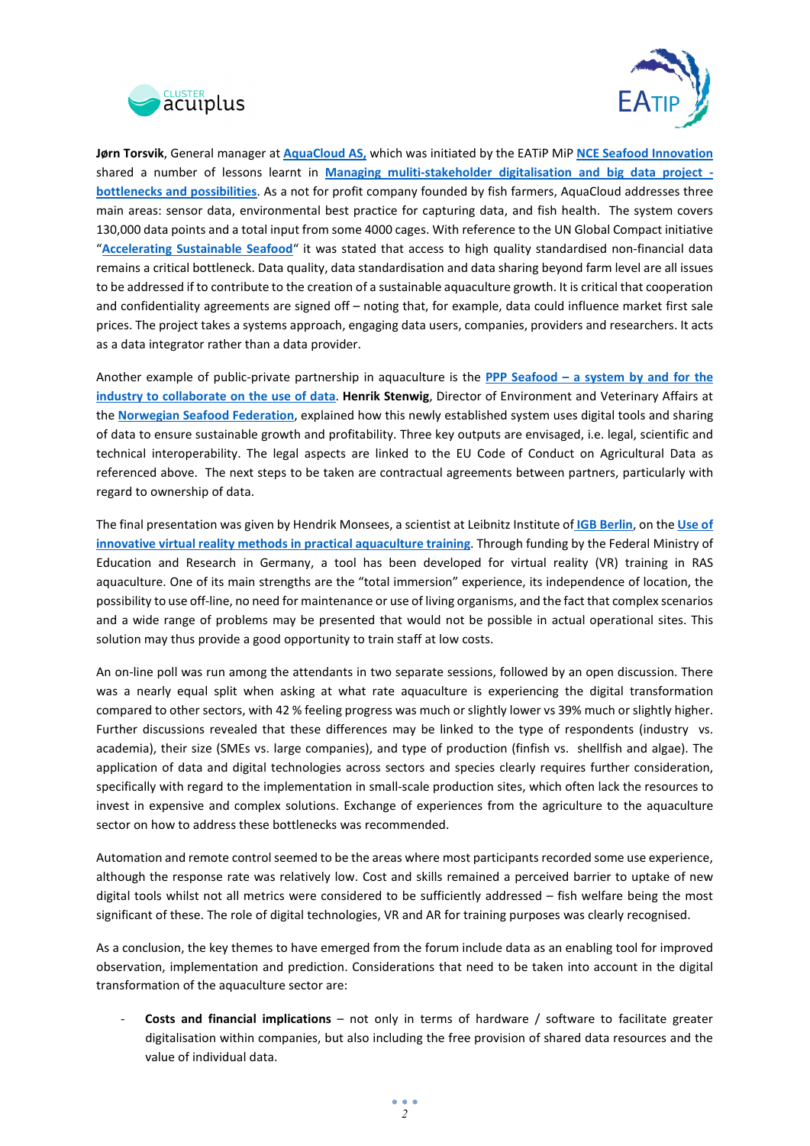



**Jørn Torsvik**, General manager at **[AquaCloud AS,](https://aquacloud.ai/)** which was initiated by the EATiP MiP **[NCE Seafood Innovation](http://www.seafoodinnovation.no/)** shared a number of lessons learnt in **[Managing muliti-stakeholder digitalisation and big data project](http://eatip.eu/wp-content/uploads/2021/03/AquaCloud-Managing-muliti-stakeholder-digitalisation-and-big-data-project-20210326.pdf) [bottlenecks and possibilities](http://eatip.eu/wp-content/uploads/2021/03/AquaCloud-Managing-muliti-stakeholder-digitalisation-and-big-data-project-20210326.pdf)**. As a not for profit company founded by fish farmers, AquaCloud addresses three main areas: sensor data, environmental best practice for capturing data, and fish health. The system covers 130,000 data points and a total input from some 4000 cages. With reference to the UN Global Compact initiative "**[Accelerating Sustainable Seafood](https://www.unglobalcompact.org/library/5871)**" it was stated that access to high quality standardised non-financial data remains a critical bottleneck. Data quality, data standardisation and data sharing beyond farm level are all issues to be addressed if to contribute to the creation of a sustainable aquaculture growth. It is critical that cooperation and confidentiality agreements are signed off – noting that, for example, data could influence market first sale prices. The project takes a systems approach, engaging data users, companies, providers and researchers. It acts as a data integrator rather than a data provider.

Another example of public-private partnership in aquaculture is the **PPP Seafood – [a system by and for the](http://eatip.eu/wp-content/uploads/2021/02/Henrik-Stenwig.pdf)  [industry to collaborate on the use of data](http://eatip.eu/wp-content/uploads/2021/02/Henrik-Stenwig.pdf)**. **Henrik Stenwig**, Director of Environment and Veterinary Affairs at the **[Norwegian Seafood Federation](https://sjomatnorge.no/norwegian-seafood-federation/)**, explained how this newly established system uses digital tools and sharing of data to ensure sustainable growth and profitability. Three key outputs are envisaged, i.e. legal, scientific and technical interoperability. The legal aspects are linked to the EU Code of Conduct on Agricultural Data as referenced above. The next steps to be taken are contractual agreements between partners, particularly with regard to ownership of data.

The final presentation was given by Hendrik Monsees, a scientist at Leibnitz Institute of **[IGB Berlin](https://www.igb-berlin.de/)**, on the **[Use of](http://eatip.eu/wp-content/uploads/2021/02/Hendrik-Monsees-AquaVR.pdf)  [innovative virtual reality methods in practical aquaculture training](http://eatip.eu/wp-content/uploads/2021/02/Hendrik-Monsees-AquaVR.pdf)**. Through funding by the Federal Ministry of Education and Research in Germany, a tool has been developed for virtual reality (VR) training in RAS aquaculture. One of its main strengths are the "total immersion" experience, its independence of location, the possibility to use off-line, no need for maintenance or use of living organisms, and the fact that complex scenarios and a wide range of problems may be presented that would not be possible in actual operational sites. This solution may thus provide a good opportunity to train staff at low costs.

An on-line poll was run among the attendants in two separate sessions, followed by an open discussion. There was a nearly equal split when asking at what rate aquaculture is experiencing the digital transformation compared to other sectors, with 42 % feeling progress was much or slightly lower vs 39% much or slightly higher. Further discussions revealed that these differences may be linked to the type of respondents (industry vs. academia), their size (SMEs vs. large companies), and type of production (finfish vs. shellfish and algae). The application of data and digital technologies across sectors and species clearly requires further consideration, specifically with regard to the implementation in small-scale production sites, which often lack the resources to invest in expensive and complex solutions. Exchange of experiences from the agriculture to the aquaculture sector on how to address these bottlenecks was recommended.

Automation and remote control seemed to be the areas where most participants recorded some use experience, although the response rate was relatively low. Cost and skills remained a perceived barrier to uptake of new digital tools whilst not all metrics were considered to be sufficiently addressed – fish welfare being the most significant of these. The role of digital technologies, VR and AR for training purposes was clearly recognised.

As a conclusion, the key themes to have emerged from the forum include data as an enabling tool for improved observation, implementation and prediction. Considerations that need to be taken into account in the digital transformation of the aquaculture sector are:

- **Costs and financial implications** – not only in terms of hardware / software to facilitate greater digitalisation within companies, but also including the free provision of shared data resources and the value of individual data.